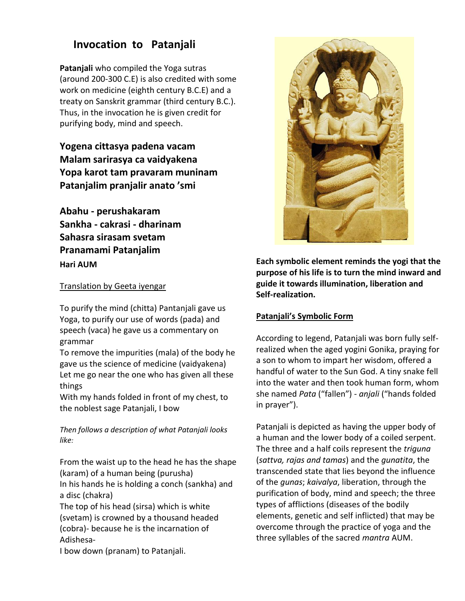## **Invocation to Patanjali**

**Patanjali** who compiled the Yoga sutras (around 200-300 C.E) is also credited with some work on medicine (eighth century B.C.E) and a treaty on Sanskrit grammar (third century B.C.). Thus, in the invocation he is given credit for purifying body, mind and speech.

**Yogena cittasya padena vacam Malam sarirasya ca vaidyakena Yopa karot tam pravaram muninam Patanjalim pranjalir anato 'smi**

**Abahu - perushakaram Sankha - cakrasi - dharinam Sahasra sirasam svetam Pranamami Patanjalim Hari AUM** 

Translation by Geeta iyengar

To purify the mind (chitta) Pantanjali gave us Yoga, to purify our use of words (pada) and speech (vaca) he gave us a commentary on grammar

To remove the impurities (mala) of the body he gave us the science of medicine (vaidyakena) Let me go near the one who has given all these things

With my hands folded in front of my chest, to the noblest sage Patanjali, I bow

*Then follows a description of what Patanjali looks like:*

From the waist up to the head he has the shape (karam) of a human being (purusha) In his hands he is holding a conch (sankha) and

a disc (chakra)

The top of his head (sirsa) which is white (svetam) is crowned by a thousand headed (cobra)- because he is the incarnation of Adishesa-

I bow down (pranam) to Patanjali.



**Each symbolic element reminds the yogi that the purpose of his life is to turn the mind inward and guide it towards illumination, liberation and Self-realization.** 

## **Patanjali's Symbolic Form**

According to legend, Patanjali was born fully selfrealized when the aged yogini Gonika, praying for a son to whom to impart her wisdom, offered a handful of water to the Sun God. A tiny snake fell into the water and then took human form, whom she named *Pata* ("fallen") - *anjali* ("hands folded in prayer").

Patanjali is depicted as having the upper body of a human and the lower body of a coiled serpent. The three and a half coils represent the *triguna* (*sattva, rajas and tamas*) and the *gunatita*, the transcended state that lies beyond the influence of the *gunas*; *kaivalya*, liberation, through the purification of body, mind and speech; the three types of afflictions (diseases of the bodily elements, genetic and self inflicted) that may be overcome through the practice of yoga and the three syllables of the sacred *mantra* AUM.